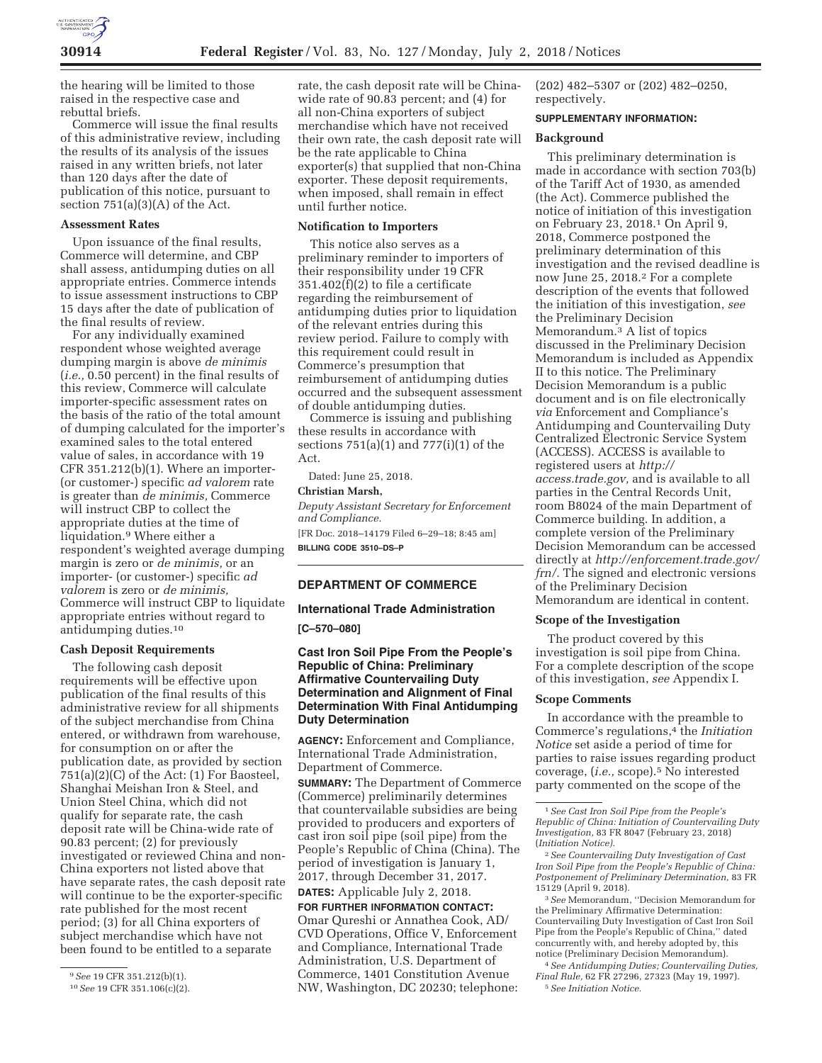

the hearing will be limited to those raised in the respective case and rebuttal briefs.

Commerce will issue the final results of this administrative review, including the results of its analysis of the issues raised in any written briefs, not later than 120 days after the date of publication of this notice, pursuant to section  $751(a)(3)(A)$  of the Act.

#### **Assessment Rates**

Upon issuance of the final results, Commerce will determine, and CBP shall assess, antidumping duties on all appropriate entries. Commerce intends to issue assessment instructions to CBP 15 days after the date of publication of the final results of review.

For any individually examined respondent whose weighted average dumping margin is above *de minimis*  (*i.e.,* 0.50 percent) in the final results of this review, Commerce will calculate importer-specific assessment rates on the basis of the ratio of the total amount of dumping calculated for the importer's examined sales to the total entered value of sales, in accordance with 19 CFR 351.212(b)(1). Where an importer- (or customer-) specific *ad valorem* rate is greater than *de minimis,* Commerce will instruct CBP to collect the appropriate duties at the time of liquidation.9 Where either a respondent's weighted average dumping margin is zero or *de minimis,* or an importer- (or customer-) specific *ad valorem* is zero or *de minimis,*  Commerce will instruct CBP to liquidate appropriate entries without regard to antidumping duties.10

#### **Cash Deposit Requirements**

The following cash deposit requirements will be effective upon publication of the final results of this administrative review for all shipments of the subject merchandise from China entered, or withdrawn from warehouse, for consumption on or after the publication date, as provided by section 751(a)(2)(C) of the Act: (1) For Baosteel, Shanghai Meishan Iron & Steel, and Union Steel China, which did not qualify for separate rate, the cash deposit rate will be China-wide rate of 90.83 percent; (2) for previously investigated or reviewed China and non-China exporters not listed above that have separate rates, the cash deposit rate will continue to be the exporter-specific rate published for the most recent period; (3) for all China exporters of subject merchandise which have not been found to be entitled to a separate

rate, the cash deposit rate will be Chinawide rate of 90.83 percent; and (4) for all non-China exporters of subject merchandise which have not received their own rate, the cash deposit rate will be the rate applicable to China exporter(s) that supplied that non-China exporter. These deposit requirements, when imposed, shall remain in effect until further notice.

#### **Notification to Importers**

This notice also serves as a preliminary reminder to importers of their responsibility under 19 CFR 351.402(f)(2) to file a certificate regarding the reimbursement of antidumping duties prior to liquidation of the relevant entries during this review period. Failure to comply with this requirement could result in Commerce's presumption that reimbursement of antidumping duties occurred and the subsequent assessment of double antidumping duties.

Commerce is issuing and publishing these results in accordance with sections 751(a)(1) and 777(i)(1) of the Act.

Dated: June 25, 2018.

#### **Christian Marsh,**

*Deputy Assistant Secretary for Enforcement and Compliance.* 

[FR Doc. 2018–14179 Filed 6–29–18; 8:45 am] **BILLING CODE 3510–DS–P** 

### **DEPARTMENT OF COMMERCE**

#### **International Trade Administration**

**[C–570–080]** 

## **Cast Iron Soil Pipe From the People's Republic of China: Preliminary Affirmative Countervailing Duty Determination and Alignment of Final Determination With Final Antidumping Duty Determination**

**AGENCY:** Enforcement and Compliance, International Trade Administration, Department of Commerce.

**SUMMARY:** The Department of Commerce (Commerce) preliminarily determines that countervailable subsidies are being provided to producers and exporters of cast iron soil pipe (soil pipe) from the People's Republic of China (China). The period of investigation is January 1, 2017, through December 31, 2017. **DATES:** Applicable July 2, 2018.

# **FOR FURTHER INFORMATION CONTACT:**  Omar Qureshi or Annathea Cook, AD/ CVD Operations, Office V, Enforcement and Compliance, International Trade Administration, U.S. Department of Commerce, 1401 Constitution Avenue NW, Washington, DC 20230; telephone:

(202) 482–5307 or (202) 482–0250, respectively.

### **SUPPLEMENTARY INFORMATION:**

### **Background**

This preliminary determination is made in accordance with section 703(b) of the Tariff Act of 1930, as amended (the Act). Commerce published the notice of initiation of this investigation on February 23, 2018.1 On April 9, 2018, Commerce postponed the preliminary determination of this investigation and the revised deadline is now June 25, 2018.2 For a complete description of the events that followed the initiation of this investigation, *see*  the Preliminary Decision Memorandum.3 A list of topics discussed in the Preliminary Decision Memorandum is included as Appendix II to this notice. The Preliminary Decision Memorandum is a public document and is on file electronically *via* Enforcement and Compliance's Antidumping and Countervailing Duty Centralized Electronic Service System (ACCESS). ACCESS is available to registered users at *http:// access.trade.gov,* and is available to all parties in the Central Records Unit, room B8024 of the main Department of Commerce building. In addition, a complete version of the Preliminary Decision Memorandum can be accessed directly at *http://enforcement.trade.gov/ frn/.* The signed and electronic versions of the Preliminary Decision Memorandum are identical in content.

### **Scope of the Investigation**

The product covered by this investigation is soil pipe from China. For a complete description of the scope of this investigation, *see* Appendix I.

#### **Scope Comments**

In accordance with the preamble to Commerce's regulations,4 the *Initiation Notice* set aside a period of time for parties to raise issues regarding product coverage, (*i.e.,* scope).5 No interested party commented on the scope of the

3*See* Memorandum, ''Decision Memorandum for the Preliminary Affirmative Determination: Countervailing Duty Investigation of Cast Iron Soil Pipe from the People's Republic of China,'' dated concurrently with, and hereby adopted by, this notice (Preliminary Decision Memorandum).

4*See Antidumping Duties; Countervailing Duties, Final Rule,* 62 FR 27296, 27323 (May 19, 1997). 5*See Initiation Notice.* 

<sup>9</sup>*See* 19 CFR 351.212(b)(1).

<sup>10</sup>*See* 19 CFR 351.106(c)(2).

<sup>1</sup>*See Cast Iron Soil Pipe from the People's Republic of China: Initiation of Countervailing Duty Investigation,* 83 FR 8047 (February 23, 2018) (*Initiation Notice).* 

<sup>2</sup>*See Countervailing Duty Investigation of Cast Iron Soil Pipe from the People's Republic of China: Postponement of Preliminary Determination,* 83 FR 15129 (April 9, 2018).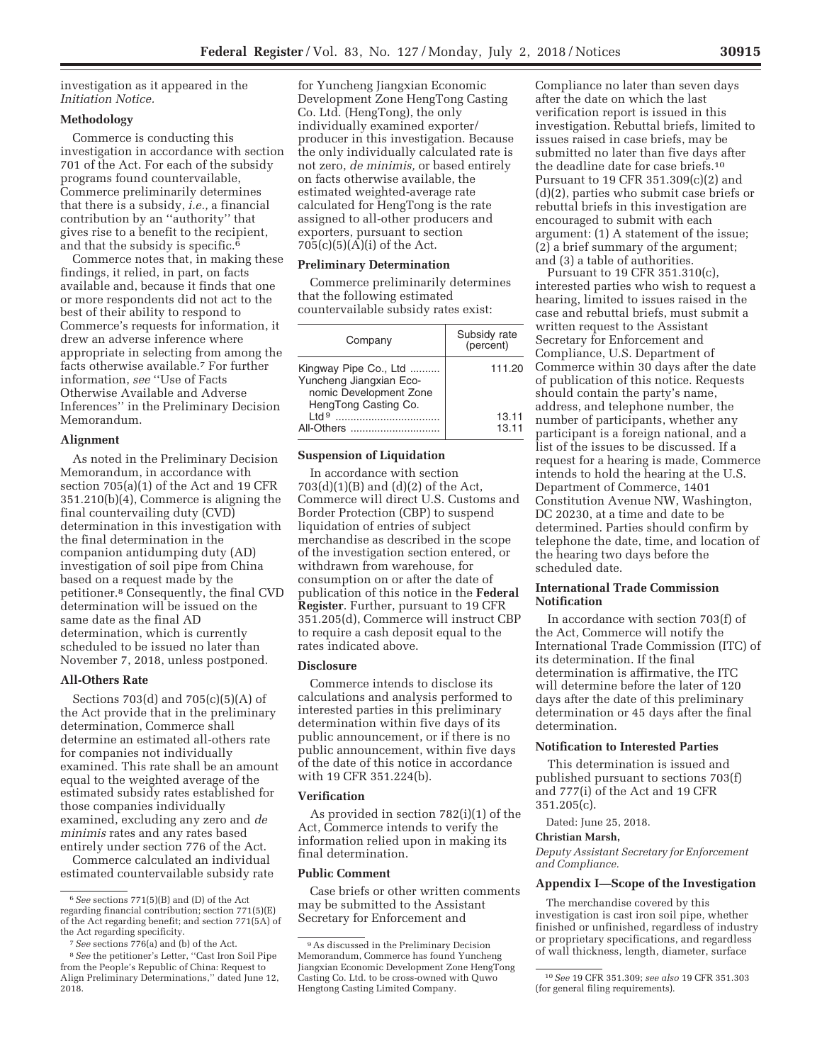investigation as it appeared in the *Initiation Notice.* 

## **Methodology**

Commerce is conducting this investigation in accordance with section 701 of the Act. For each of the subsidy programs found countervailable, Commerce preliminarily determines that there is a subsidy, *i.e.,* a financial contribution by an ''authority'' that gives rise to a benefit to the recipient, and that the subsidy is specific.<sup>6</sup>

Commerce notes that, in making these findings, it relied, in part, on facts available and, because it finds that one or more respondents did not act to the best of their ability to respond to Commerce's requests for information, it drew an adverse inference where appropriate in selecting from among the facts otherwise available.<sup>7</sup> For further information, *see* ''Use of Facts Otherwise Available and Adverse Inferences'' in the Preliminary Decision Memorandum.

#### **Alignment**

As noted in the Preliminary Decision Memorandum, in accordance with section 705(a)(1) of the Act and 19 CFR 351.210(b)(4), Commerce is aligning the final countervailing duty (CVD) determination in this investigation with the final determination in the companion antidumping duty (AD) investigation of soil pipe from China based on a request made by the petitioner.8 Consequently, the final CVD determination will be issued on the same date as the final AD determination, which is currently scheduled to be issued no later than November 7, 2018, unless postponed.

#### **All-Others Rate**

Sections 703(d) and 705(c)(5)(A) of the Act provide that in the preliminary determination, Commerce shall determine an estimated all-others rate for companies not individually examined. This rate shall be an amount equal to the weighted average of the estimated subsidy rates established for those companies individually examined, excluding any zero and *de minimis* rates and any rates based entirely under section 776 of the Act.

Commerce calculated an individual estimated countervailable subsidy rate for Yuncheng Jiangxian Economic Development Zone HengTong Casting Co. Ltd. (HengTong), the only individually examined exporter/ producer in this investigation. Because the only individually calculated rate is not zero, *de minimis,* or based entirely on facts otherwise available, the estimated weighted-average rate calculated for HengTong is the rate assigned to all-other producers and exporters, pursuant to section 705(c)(5)(A)(i) of the Act.

### **Preliminary Determination**

Commerce preliminarily determines that the following estimated countervailable subsidy rates exist:

| Company                                                                                            | Subsidy rate<br>(percent) |
|----------------------------------------------------------------------------------------------------|---------------------------|
| Kingway Pipe Co., Ltd<br>Yuncheng Jiangxian Eco-<br>nomic Development Zone<br>HengTong Casting Co. | 111.20                    |
| $P$ ht $I$<br>All-Others                                                                           | 13.11<br>13.11            |

### **Suspension of Liquidation**

In accordance with section  $703(d)(1)(B)$  and  $(d)(2)$  of the Act, Commerce will direct U.S. Customs and Border Protection (CBP) to suspend liquidation of entries of subject merchandise as described in the scope of the investigation section entered, or withdrawn from warehouse, for consumption on or after the date of publication of this notice in the **Federal Register**. Further, pursuant to 19 CFR 351.205(d), Commerce will instruct CBP to require a cash deposit equal to the rates indicated above.

### **Disclosure**

Commerce intends to disclose its calculations and analysis performed to interested parties in this preliminary determination within five days of its public announcement, or if there is no public announcement, within five days of the date of this notice in accordance with 19 CFR 351.224(b).

#### **Verification**

As provided in section 782(i)(1) of the Act, Commerce intends to verify the information relied upon in making its final determination.

#### **Public Comment**

Case briefs or other written comments may be submitted to the Assistant Secretary for Enforcement and

Compliance no later than seven days after the date on which the last verification report is issued in this investigation. Rebuttal briefs, limited to issues raised in case briefs, may be submitted no later than five days after the deadline date for case briefs.10 Pursuant to 19 CFR 351.309(c)(2) and (d)(2), parties who submit case briefs or rebuttal briefs in this investigation are encouraged to submit with each argument: (1) A statement of the issue; (2) a brief summary of the argument; and (3) a table of authorities.

Pursuant to 19 CFR 351.310(c), interested parties who wish to request a hearing, limited to issues raised in the case and rebuttal briefs, must submit a written request to the Assistant Secretary for Enforcement and Compliance, U.S. Department of Commerce within 30 days after the date of publication of this notice. Requests should contain the party's name, address, and telephone number, the number of participants, whether any participant is a foreign national, and a list of the issues to be discussed. If a request for a hearing is made, Commerce intends to hold the hearing at the U.S. Department of Commerce, 1401 Constitution Avenue NW, Washington, DC 20230, at a time and date to be determined. Parties should confirm by telephone the date, time, and location of the hearing two days before the scheduled date.

### **International Trade Commission Notification**

In accordance with section 703(f) of the Act, Commerce will notify the International Trade Commission (ITC) of its determination. If the final determination is affirmative, the ITC will determine before the later of 120 days after the date of this preliminary determination or 45 days after the final determination.

#### **Notification to Interested Parties**

This determination is issued and published pursuant to sections 703(f) and 777(i) of the Act and 19 CFR 351.205(c).

Dated: June 25, 2018.

### **Christian Marsh,**

*Deputy Assistant Secretary for Enforcement and Compliance.* 

#### **Appendix I—Scope of the Investigation**

The merchandise covered by this investigation is cast iron soil pipe, whether finished or unfinished, regardless of industry or proprietary specifications, and regardless of wall thickness, length, diameter, surface

<sup>6</sup>*See* sections 771(5)(B) and (D) of the Act regarding financial contribution; section 771(5)(E) of the Act regarding benefit; and section 771(5A) of the Act regarding specificity.

<sup>7</sup>*See* sections 776(a) and (b) of the Act.

<sup>8</sup>*See* the petitioner's Letter, ''Cast Iron Soil Pipe from the People's Republic of China: Request to Align Preliminary Determinations,'' dated June 12, 2018.

<sup>9</sup>As discussed in the Preliminary Decision Memorandum, Commerce has found Yuncheng Jiangxian Economic Development Zone HengTong Casting Co. Ltd. to be cross-owned with Quwo Hengtong Casting Limited Company.

<sup>10</sup>*See* 19 CFR 351.309; *see also* 19 CFR 351.303 (for general filing requirements).